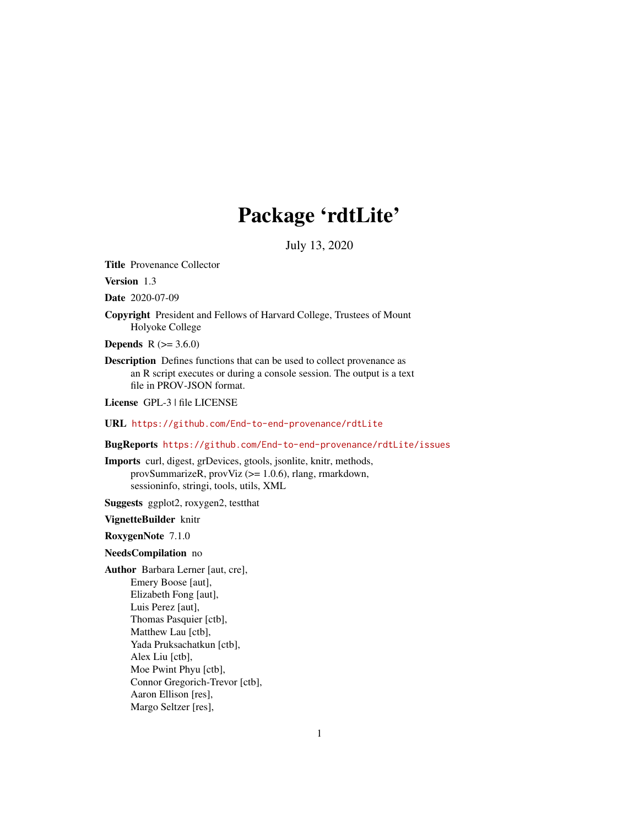## Package 'rdtLite'

July 13, 2020

Title Provenance Collector

Version 1.3

Date 2020-07-09

Copyright President and Fellows of Harvard College, Trustees of Mount Holyoke College

**Depends** R  $(>= 3.6.0)$ 

Description Defines functions that can be used to collect provenance as an R script executes or during a console session. The output is a text file in PROV-JSON format.

License GPL-3 | file LICENSE

URL <https://github.com/End-to-end-provenance/rdtLite>

BugReports <https://github.com/End-to-end-provenance/rdtLite/issues>

Imports curl, digest, grDevices, gtools, jsonlite, knitr, methods, provSummarizeR, provViz (>= 1.0.6), rlang, rmarkdown, sessioninfo, stringi, tools, utils, XML

Suggests ggplot2, roxygen2, testthat

#### VignetteBuilder knitr

RoxygenNote 7.1.0

#### NeedsCompilation no

Author Barbara Lerner [aut, cre], Emery Boose [aut], Elizabeth Fong [aut], Luis Perez [aut], Thomas Pasquier [ctb], Matthew Lau [ctb], Yada Pruksachatkun [ctb], Alex Liu [ctb], Moe Pwint Phyu [ctb], Connor Gregorich-Trevor [ctb], Aaron Ellison [res], Margo Seltzer [res],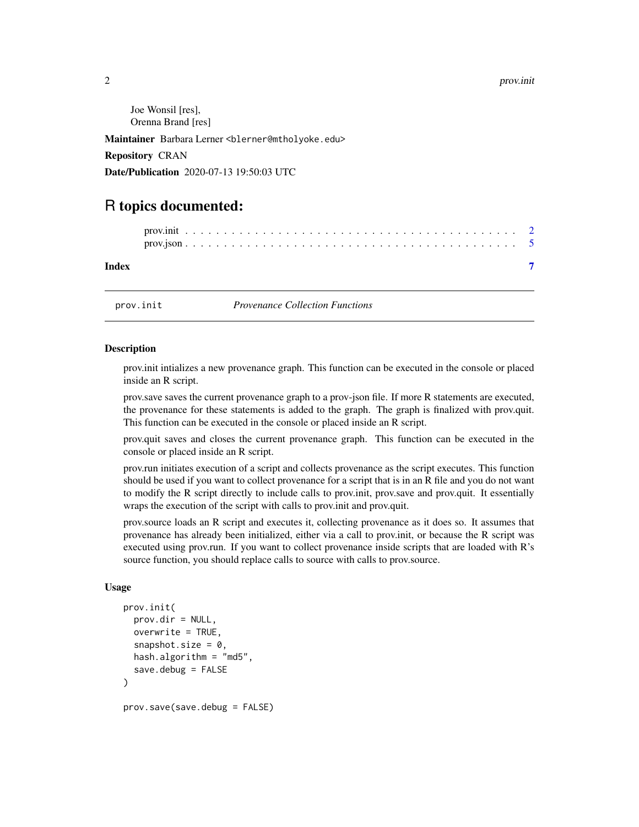#### $2<sup>2</sup>$

Joe Wonsil [res], Orenna Brand [res]

Maintainer Barbara Lerner <blerner@mtholyoke.edu>

Repository CRAN

Date/Publication 2020-07-13 19:50:03 UTC

### R topics documented:

| Index |  |  |  |  |  |  |  |  |  |  |  |  |  |  |  |  |  |  |  |
|-------|--|--|--|--|--|--|--|--|--|--|--|--|--|--|--|--|--|--|--|

<span id="page-1-1"></span>

prov.init *Provenance Collection Functions*

#### <span id="page-1-2"></span>Description

prov.init intializes a new provenance graph. This function can be executed in the console or placed inside an R script.

prov.save saves the current provenance graph to a prov-json file. If more R statements are executed, the provenance for these statements is added to the graph. The graph is finalized with prov.quit. This function can be executed in the console or placed inside an R script.

prov.quit saves and closes the current provenance graph. This function can be executed in the console or placed inside an R script.

prov.run initiates execution of a script and collects provenance as the script executes. This function should be used if you want to collect provenance for a script that is in an R file and you do not want to modify the R script directly to include calls to prov.init, prov.save and prov.quit. It essentially wraps the execution of the script with calls to prov.init and prov.quit.

prov.source loads an R script and executes it, collecting provenance as it does so. It assumes that provenance has already been initialized, either via a call to prov.init, or because the R script was executed using prov.run. If you want to collect provenance inside scripts that are loaded with R's source function, you should replace calls to source with calls to prov.source.

#### Usage

```
prov.init(
  prox.dim = NULL,overwrite = TRUE,
  snapshot.size = 0,
  hash.algorithm = "md5",
  save.debug = FALSE)
```
prov.save(save.debug = FALSE)

<span id="page-1-0"></span>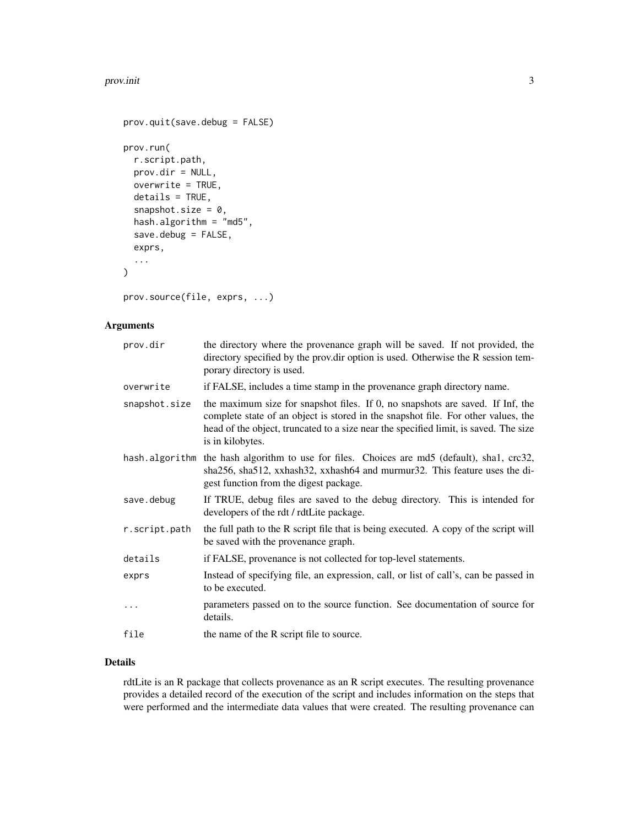#### prov.init 3

```
prov.quit(save.debug = FALSE)
prov.run(
  r.script.path,
 prov.dir = NULL,
 overwrite = TRUE,
 details = TRUE,
  snapshot.size = 0,
  hash.algorithm = "md5",
  save.debug = FALSE,
  exprs,
  ...
)
```
prov.source(file, exprs, ...)

#### Arguments

| prov.dir      | the directory where the provenance graph will be saved. If not provided, the<br>directory specified by the prov.dir option is used. Otherwise the R session tem-<br>porary directory is used.                                                                                   |
|---------------|---------------------------------------------------------------------------------------------------------------------------------------------------------------------------------------------------------------------------------------------------------------------------------|
| overwrite     | if FALSE, includes a time stamp in the provenance graph directory name.                                                                                                                                                                                                         |
| snapshot.size | the maximum size for snapshot files. If 0, no snapshots are saved. If Inf, the<br>complete state of an object is stored in the snapshot file. For other values, the<br>head of the object, truncated to a size near the specified limit, is saved. The size<br>is in kilobytes. |
|               | hash algorithm the hash algorithm to use for files. Choices are md5 (default), shal, crc32,<br>sha256, sha512, xxhash32, xxhash64 and murmur32. This feature uses the di-<br>gest function from the digest package.                                                             |
| save.debug    | If TRUE, debug files are saved to the debug directory. This is intended for<br>developers of the rdt / rdtLite package.                                                                                                                                                         |
| r.script.path | the full path to the R script file that is being executed. A copy of the script will<br>be saved with the provenance graph.                                                                                                                                                     |
| details       | if FALSE, provenance is not collected for top-level statements.                                                                                                                                                                                                                 |
| exprs         | Instead of specifying file, an expression, call, or list of call's, can be passed in<br>to be executed.                                                                                                                                                                         |
|               | parameters passed on to the source function. See documentation of source for<br>details.                                                                                                                                                                                        |
| file          | the name of the R script file to source.                                                                                                                                                                                                                                        |

#### Details

rdtLite is an R package that collects provenance as an R script executes. The resulting provenance provides a detailed record of the execution of the script and includes information on the steps that were performed and the intermediate data values that were created. The resulting provenance can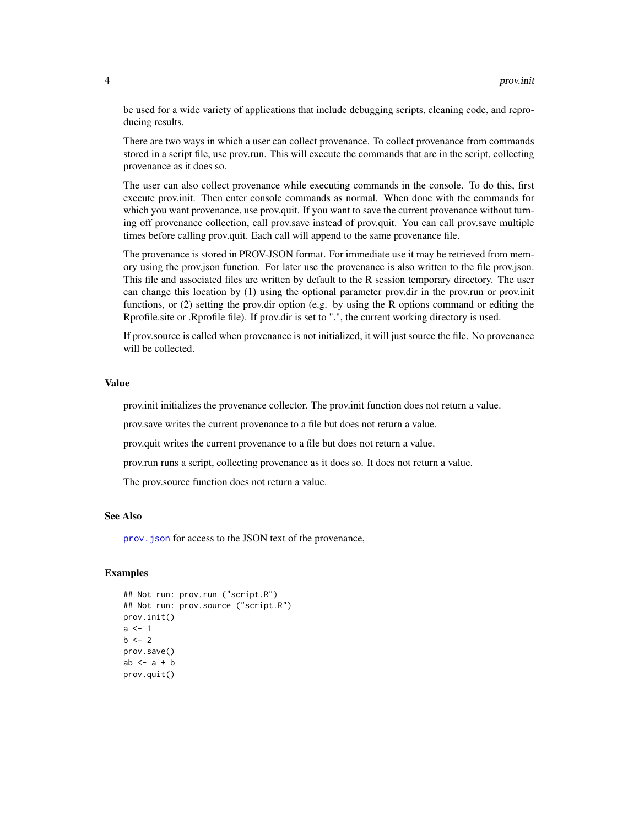be used for a wide variety of applications that include debugging scripts, cleaning code, and reproducing results.

There are two ways in which a user can collect provenance. To collect provenance from commands stored in a script file, use prov.run. This will execute the commands that are in the script, collecting provenance as it does so.

The user can also collect provenance while executing commands in the console. To do this, first execute prov.init. Then enter console commands as normal. When done with the commands for which you want provenance, use prov.quit. If you want to save the current provenance without turning off provenance collection, call prov.save instead of prov.quit. You can call prov.save multiple times before calling prov.quit. Each call will append to the same provenance file.

The provenance is stored in PROV-JSON format. For immediate use it may be retrieved from memory using the prov.json function. For later use the provenance is also written to the file prov.json. This file and associated files are written by default to the R session temporary directory. The user can change this location by (1) using the optional parameter prov.dir in the prov.run or prov.init functions, or (2) setting the prov.dir option (e.g. by using the R options command or editing the Rprofile.site or .Rprofile file). If prov.dir is set to ".", the current working directory is used.

If prov.source is called when provenance is not initialized, it will just source the file. No provenance will be collected.

#### Value

prov.init initializes the provenance collector. The prov.init function does not return a value.

prov.save writes the current provenance to a file but does not return a value.

prov.quit writes the current provenance to a file but does not return a value.

prov.run runs a script, collecting provenance as it does so. It does not return a value.

The prov.source function does not return a value.

#### See Also

[prov.json](#page-4-1) for access to the JSON text of the provenance,

#### Examples

```
## Not run: prov.run ("script.R")
## Not run: prov.source ("script.R")
prov.init()
a \leq -1b \le -2prov.save()
ab \leq -a + bprov.quit()
```
<span id="page-3-0"></span>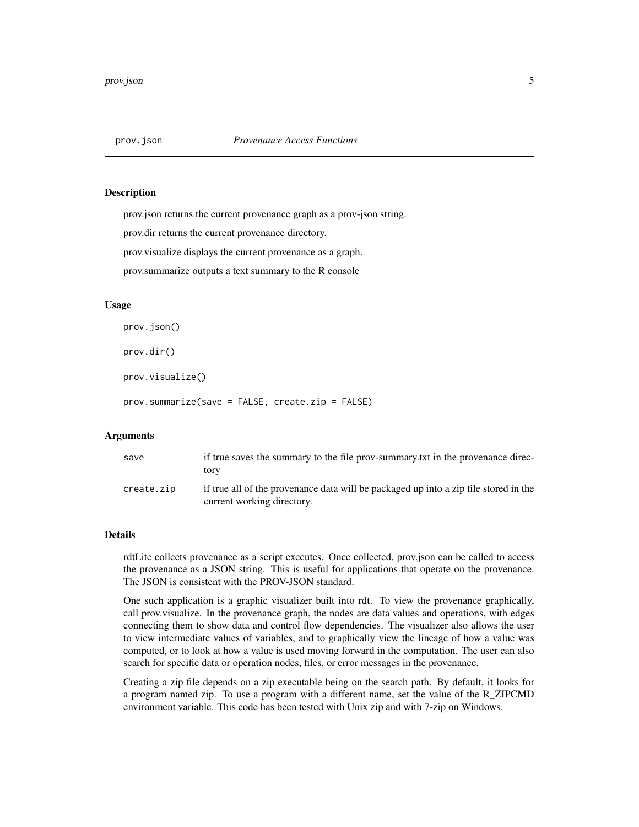<span id="page-4-1"></span><span id="page-4-0"></span>

#### **Description**

prov.json returns the current provenance graph as a prov-json string.

prov.dir returns the current provenance directory.

prov.visualize displays the current provenance as a graph.

prov.summarize outputs a text summary to the R console

#### Usage

```
prov.json()
```
prov.dir()

prov.visualize()

prov.summarize(save = FALSE, create.zip = FALSE)

#### Arguments

| save       | if true saves the summary to the file prov-summary, txt in the provenance direc-<br>tory                           |
|------------|--------------------------------------------------------------------------------------------------------------------|
| create.zip | if true all of the provenance data will be packaged up into a zip file stored in the<br>current working directory. |

#### Details

rdtLite collects provenance as a script executes. Once collected, prov.json can be called to access the provenance as a JSON string. This is useful for applications that operate on the provenance. The JSON is consistent with the PROV-JSON standard.

One such application is a graphic visualizer built into rdt. To view the provenance graphically, call prov.visualize. In the provenance graph, the nodes are data values and operations, with edges connecting them to show data and control flow dependencies. The visualizer also allows the user to view intermediate values of variables, and to graphically view the lineage of how a value was computed, or to look at how a value is used moving forward in the computation. The user can also search for specific data or operation nodes, files, or error messages in the provenance.

Creating a zip file depends on a zip executable being on the search path. By default, it looks for a program named zip. To use a program with a different name, set the value of the R\_ZIPCMD environment variable. This code has been tested with Unix zip and with 7-zip on Windows.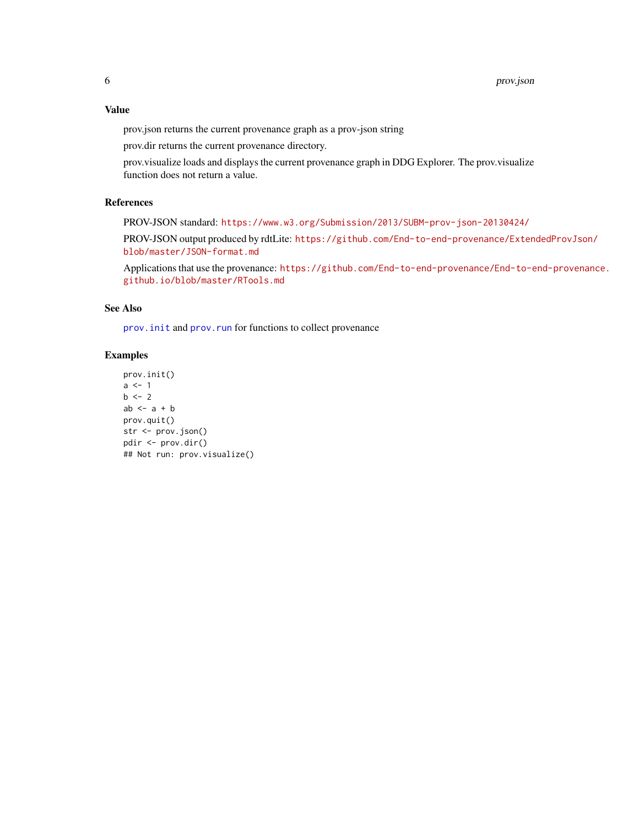#### <span id="page-5-0"></span>Value

prov.json returns the current provenance graph as a prov-json string

prov.dir returns the current provenance directory.

prov.visualize loads and displays the current provenance graph in DDG Explorer. The prov.visualize function does not return a value.

#### References

PROV-JSON standard: <https://www.w3.org/Submission/2013/SUBM-prov-json-20130424/>

PROV-JSON output produced by rdtLite: [https://github.com/End-to-end-provenance/Exten](https://github.com/End-to-end-provenance/ExtendedProvJson/blob/master/JSON-format.md)dedProvJson/ [blob/master/JSON-format.md](https://github.com/End-to-end-provenance/ExtendedProvJson/blob/master/JSON-format.md)

Applications that use the provenance: [https://github.com/End-to-end-provenance/End-to-e](https://github.com/End-to-end-provenance/End-to-end-provenance.github.io/blob/master/RTools.md)nd-provenance. [github.io/blob/master/RTools.md](https://github.com/End-to-end-provenance/End-to-end-provenance.github.io/blob/master/RTools.md)

#### See Also

prov. init and prov. run for functions to collect provenance

#### Examples

```
prov.init()
a \leftarrow 1b \le -2ab \leq -a + bprov.quit()
str <- prov.json()
pdir <- prov.dir()
## Not run: prov.visualize()
```